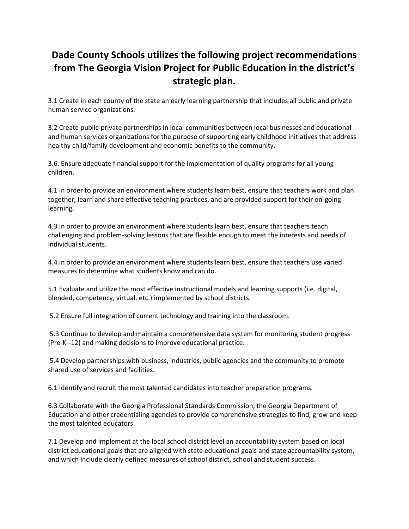## **Dade County Schools utilizes the following project recommendations from The Georgia Vision Project for Public Education in the district's strategic plan.**

3.1 Create in each county of the state an early learning partnership that includes all public and private human service organizations.

3.2 Create public-private partnerships in local communities between local businesses and educational and human services organizations for the purpose of supporting early childhood initiatives that address healthy child/family development and economic benefits to the community.

3.6. Ensure adequate financial support for the implementation of quality programs for all young children.

4.1 In order to provide an environment where students learn best, ensure that teachers work and plan together, learn and share effective teaching practices, and are provided support for their on-going learning.

4.3 In order to provide an environment where students learn best, ensure that teachers teach challenging and problem-solving lessons that are flexible enough to meet the interests and needs of individual students.

4.4 In order to provide an environment where students learn best, ensure that teachers use varied measures to determine what students know and can do.

5.1 Evaluate and utilize the most effective instructional models and learning supports (i.e. digital, blended, competency, virtual, etc.) implemented by school districts.

5.2 Ensure full integration of current technology and training into the classroom.

5.3 Continue to develop and maintain a comprehensive data system for monitoring student progress (Pre-K--12) and making decisions to improve educational practice.

5.4 Develop partnerships with business, industries, public agencies and the community to promote shared use of services and facilities.

6.1 Identify and recruit the most talented candidates into teacher preparation programs.

6.3 Collaborate with the Georgia Professional Standards Commission, the Georgia Department of Education and other credentialing agencies to provide comprehensive strategies to find, grow and keep the most talented educators.

7.1 Develop and implement at the local school district level an accountability system based on local district educational goals that are aligned with state educational goals and state accountability system, and which include clearly defined measures of school district, school and student success.